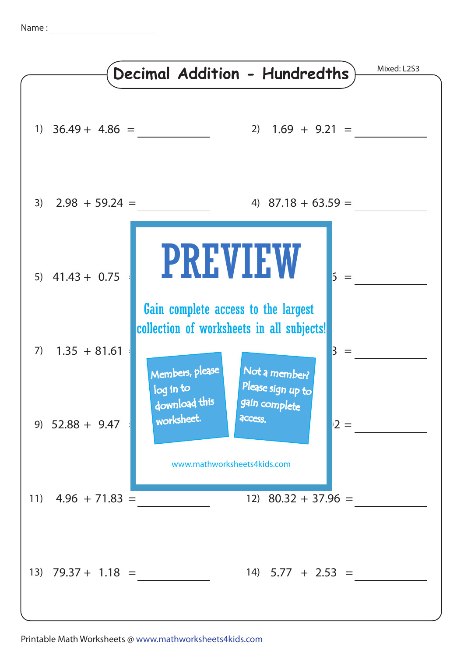